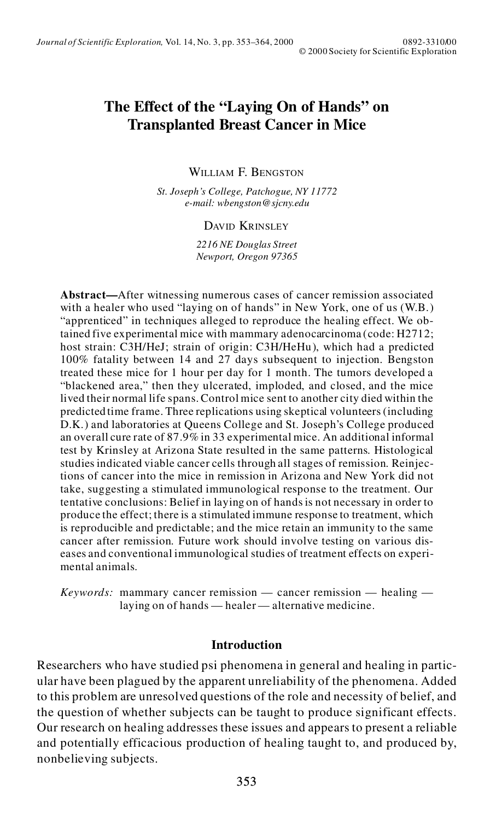# **The Effect of the "Laying On of Hands" on Transplanted Breast Cancer in Mice**

WILLIAM F. BENGSTON

*St. Joseph's College, Patchogue, NY 11772 e-mail: wbengston@sjcny.edu*

#### DAVID KRINSLEY

*2216 NE Douglas Street Newport, Oregon 97365*

**Abstract—**After witnessing numerous cases of cancer remission associated with a healer who used "laying on of hands" in New York, one of us (W.B.) "apprenticed" in techniques alleged to reproduce the healing effect. We obtained five experimental mice with mammary adenocarcinoma (code: H2712; host strain: C3H/HeJ; strain of origin: C3H/HeHu), which had a predicted 100% fatality between 14 and 27 days subsequent to injection. Bengston treated these mice for 1 hour per day for 1 month. The tumors developed a "blackened area," then they ulcerated, imploded, and closed, and the mice lived their normal life spans. Control mice sent to another city died within the predicted time frame. Three replications using skeptical volunteers (including D.K.) and laboratories at Queens College and St. Joseph's College produced an overall cure rate of 87.9% in 33 experimental mice. An additional informal test by Krinsley at Arizona State resulted in the same patterns. Histological studies indicated viable cancer cells through all stages of remission. Reinjections of cancer into the mice in remission in Arizona and New York did not take, suggesting a stimulated immunological response to the treatment. Our tentative conclusions: Belief in laying on of hands is not necessary in order to produce the effect; there is a stimulated immune response to treatment, which is reproducible and predictable; and the mice retain an immunity to the same cancer after remission. Future work should involve testing on various dis eases and conventional immunological studies of treatment effects on experimental animals.

*Keywords:* mammary cancer remission — cancer remission — healing laying on of hands — healer — alternative medicine.

#### **Introduction**

Researchers who have studied psi phenomena in general and healing in particular have been plagued by the apparent unreliability of the phenomena. Added to this problem are unresolved questions of the role and necessity of belief, and the question of whether subjects can be taught to produce significant effects. Our research on healing addresses these issues and appears to present a reliable and potentially efficacious production of healing taught to, and produced by, nonbelieving subjects.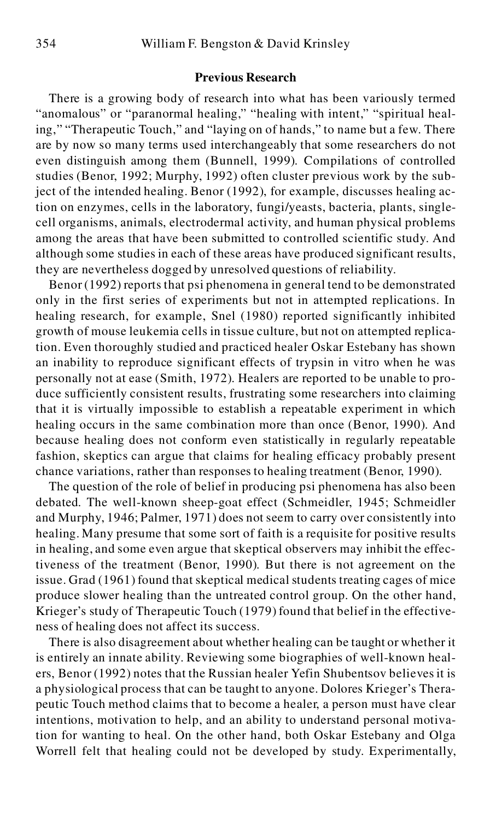#### **Previous Research**

There is a growing body of research into what has been variously termed "anomalous" or "paranormal healing," "healing with intent," "spiritual healing," "Therapeutic Touch," and "laying on of hands," to name but a few. There are by now so many terms used interchangeably that some researchers do not even distinguish among them (Bunnell, 1999). Compilations of controlled studies (Benor, 1992; Murphy, 1992) often cluster previous work by the subject of the intended healing. Benor (1992), for example, discusses healing action on enzymes, cells in the laboratory, fungi/yeasts, bacteria, plants, singlecell organisms, animals, electrodermal activity, and human physical problems among the areas that have been submitted to controlled scientific study. And although some studies in each of these areas have produced significant results, they are nevertheless dogged by unresolved questions of reliability.

Benor (1992) reports that psi phenomena in general tend to be demonstrated only in the first series of experiments but not in attempted replications. In healing research, for example, Snel (1980) reported significantly inhibited growth of mouse leukemia cells in tissue culture, but not on attempted replication. Even thoroughly studied and practiced healer Oskar Estebany has shown an inability to reproduce significant effects of trypsin in vitro when he was personally not at ease (Smith, 1972). Healers are reported to be unable to produce sufficiently consistent results, frustrating some researchers into claiming that it is virtually impossible to establish a repeatable experiment in which healing occurs in the same combination more than once (Benor, 1990). And because healing does not conform even statistically in regularly repeatable fashion, skeptics can argue that claims for healing efficacy probably present chance variations, rather than responses to healing treatment (Benor, 1990).

The question of the role of belief in producing psi phenomena has also been debated. The well-known sheep-goat effect (Schmeidler, 1945; Schmeidler and Murphy, 1946; Palmer, 1971) does not seem to carry over consistently into healing. Many presume that some sort of faith is a requisite for positive results in healing, and some even argue that skeptical observers may inhibit the effectiveness of the treatment (Benor, 1990). But there is not agreement on the issue. Grad (1961) found that skeptical medical students treating cages of mice produce slower healing than the untreated control group. On the other hand, Krieger's study of Therapeutic Touch (1979) found that belief in the effectiveness of healing does not affect its success.

There is also disagreement about whether healing can be taught or whether it is entirely an innate ability. Reviewing some biographies of well-known healers, Benor (1992) notes that the Russian healer Yefin Shubentsov believesit is a physiological process that can be taught to anyone. Dolores Krieger's Therapeutic Touch method claims that to become a healer, a person must have clear intentions, motivation to help, and an ability to understand personal motivation for wanting to heal. On the other hand, both Oskar Estebany and Olga Worrell felt that healing could not be developed by study. Experimentally,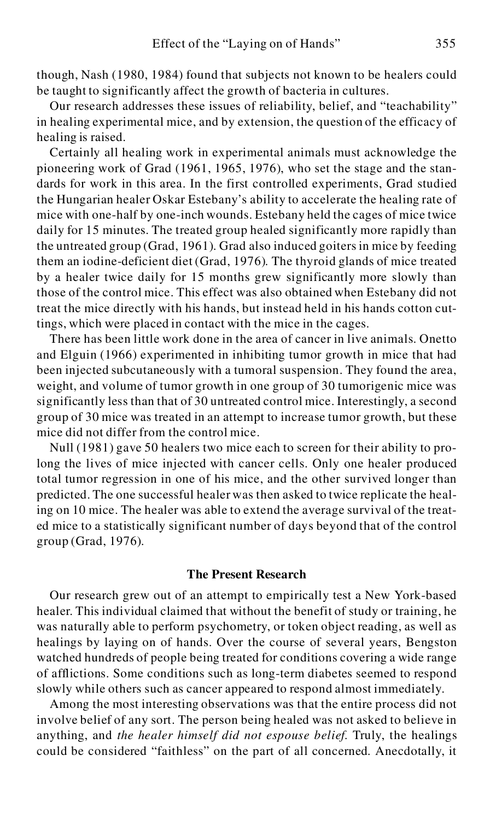though, Nash (1980, 1984) found that subjects not known to be healers could be taught to significantly affect the growth of bacteria in cultures.

Our research addresses these issues of reliability, belief, and "teachability" in healing experimental mice, and by extension, the question of the efficacy of healing is raised.

Certainly all healing work in experimental animals must acknowledge the pioneering work of Grad (1961, 1965, 1976), who set the stage and the standards for work in this area. In the first controlled experiments, Grad studied the Hungarian healer Oskar Estebany's ability to accelerate the healing rate of mice with one-half by one-inch wounds. Estebany held the cages of mice twice daily for 15 minutes. The treated group healed significantly more rapidly than the untreated group (Grad, 1961). Grad also induced goiters in mice by feeding them an iodine-deficient diet (Grad, 1976). The thyroid glands of mice treated by a healer twice daily for 15 months grew significantly more slowly than those of the control mice. This effect was also obtained when Estebany did not treat the mice directly with his hands, but instead held in his hands cotton cuttings, which were placed in contact with the mice in the cages.

There has been little work done in the area of cancer in live animals. Onetto and Elguin (1966) experimented in inhibiting tumor growth in mice that had been injected subcutaneously with a tumoral suspension. They found the area, weight, and volume of tumor growth in one group of 30 tumorigenic mice was significantly less than that of 30 untreated control mice. Interestingly, a second group of 30 mice was treated in an attempt to increase tumor growth, but these mice did not differ from the control mice.

Null (1981) gave 50 healers two mice each to screen for their ability to prolong the lives of mice injected with cancer cells. Only one healer produced total tumor regression in one of his mice, and the other survived longer than predicted. The one successful healer was then asked to twice replicate the healing on 10 mice. The healer was able to extend the average survival of the treated mice to a statistically significant number of days beyond that of the control group (Grad, 1976).

#### **The Present Research**

Our research grew out of an attempt to empirically test a New York-based healer. This individual claimed that without the benefit of study or training, he was naturally able to perform psychometry, or token object reading, as well as healings by laying on of hands. Over the course of several years, Bengston watched hundreds of people being treated for conditions covering a wide range of afflictions. Some conditions such as long-term diabetes seemed to respond slowly while others such as cancer appeared to respond almost immediately.

Among the most interesting observations was that the entire process did not involve belief of any sort. The person being healed was not asked to believe in anything, and *the healer himself did not espouse belief*. Truly, the healings could be considered "faithless" on the part of all concerned. Anecdotally, it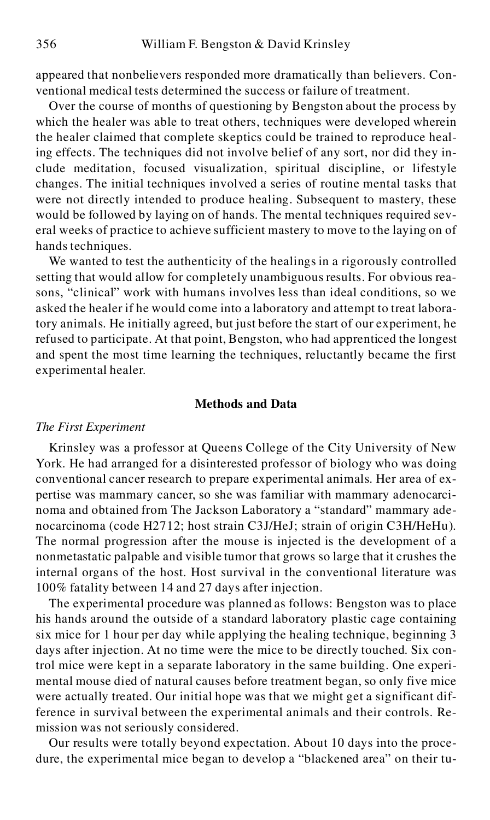appeared that nonbelievers responded more dramatically than believers. Conventional medical tests determined the success or failure of treatment.

Over the course of months of questioning by Bengston about the process by which the healer was able to treat others, techniques were developed wherein the healer claimed that complete skeptics could be trained to reproduce healing effects. The techniques did not involve belief of any sort, nor did they include meditation, focused visualization, spiritual discipline, or lifestyle changes. The initial techniques involved a series of routine mental tasks that were not directly intended to produce healing. Subsequent to mastery, these would be followed by laying on of hands. The mental techniques required several weeks of practice to achieve sufficient mastery to move to the laying on of hands techniques.

We wanted to test the authenticity of the healings in a rigorously controlled setting that would allow for completely unambiguous results. For obvious reasons, "clinical" work with humans involves less than ideal conditions, so we asked the healer if he would come into a laboratory and attempt to treat laboratory animals. He initially agreed, but just before the start of our experiment, he refused to participate. At that point, Bengston, who had apprenticed the longest and spent the most time learning the techniques, reluctantly became the first experimental healer.

### **Methods and Data**

#### *The First Experiment*

Krinsley was a professor at Queens College of the City University of New York. He had arranged for a disinterested professor of biology who was doing conventional cancer research to prepare experimental animals. Her area of expertise was mammary cancer, so she was familiar with mammary adenocarcinoma and obtained from The Jackson Laboratory a "standard" mammary adenocarcinoma (code H2712; host strain C3J/HeJ; strain of origin C3H/HeHu). The normal progression after the mouse is injected is the development of a nonmetastatic palpable and visible tumor that grows so large that it crushes the internal organs of the host. Host survival in the conventional literature was 100% fatality between 14 and 27 days after injection.

The experimental procedure was planned as follows: Bengston was to place his hands around the outside of a standard laboratory plastic cage containing six mice for 1 hour per day while applying the healing technique, beginning 3 days after injection. At no time were the mice to be directly touched. Six control mice were kept in a separate laboratory in the same building. One experimental mouse died of natural causes before treatment began, so only five mice were actually treated. Our initial hope was that we might get a significant difference in survival between the experimental animals and their controls. Remission was not seriously considered.

Our results were totally beyond expectation. About 10 days into the procedure, the experimental mice began to develop a "blackened area" on their tu-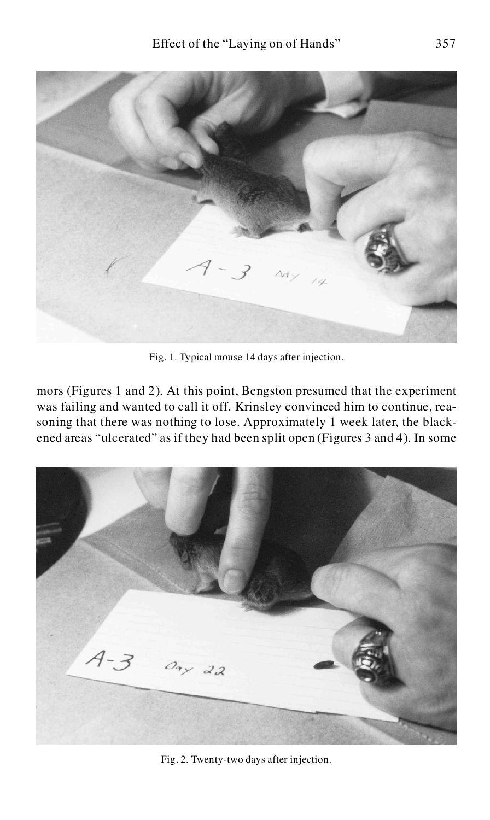

Fig. 1. Typical mouse 14 days after injection.

mors (Figures 1 and 2). At this point, Bengston presumed that the experiment was failing and wanted to call it off. Krinsley convinced him to continue, reasoning that there was nothing to lose. Approximately 1 week later, the blackened areas "ulcerated" as if they had been split open (Figures 3 and 4). In some



Fig. 2. Twenty-two days after injection.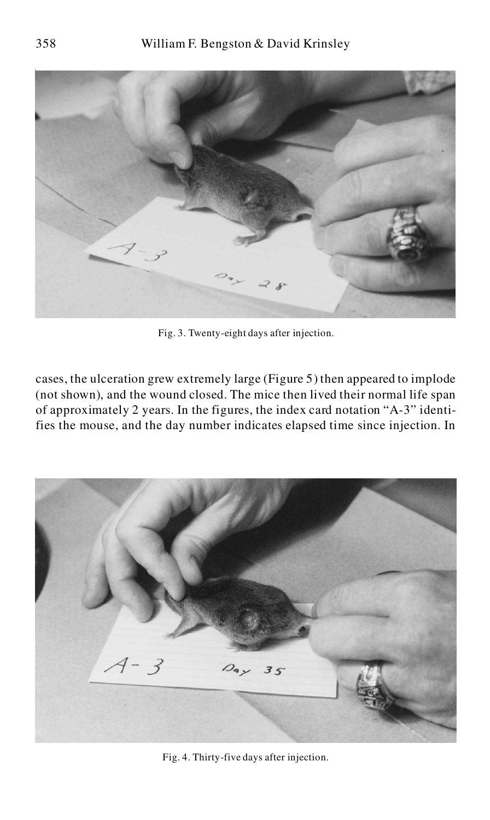

Fig. 3. Twenty-eight days after injection.

cases, the ulceration grew extremely large (Figure 5) then appeared to implode (not shown), and the wound closed. The mice then lived their normal life span of approximately 2 years. In the figures, the index card notation "A-3" identifies the mouse, and the day number indicates elapsed time since injection. In



Fig. 4. Thirty-five days after injection.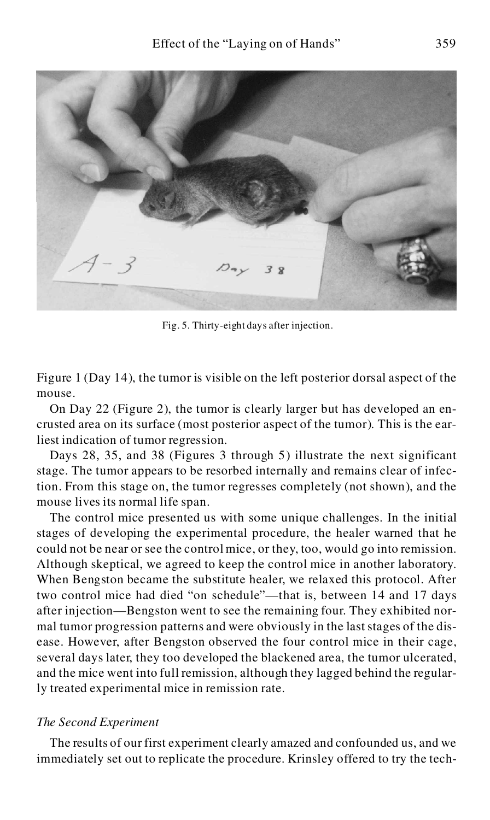

Fig. 5. Thirty-eight days after injection.

Figure 1 (Day 14), the tumor is visible on the left posterior dorsal aspect of the mouse.

On Day 22 (Figure 2), the tumor is clearly larger but has developed an encrusted area on its surface (most posterior aspect of the tumor). This is the earliest indication of tumor regression.

Days 28, 35, and 38 (Figures 3 through 5) illustrate the next significant stage. The tumor appears to be resorbed internally and remains clear of infection. From this stage on, the tumor regresses completely (not shown), and the mouse lives its normal life span.

The control mice presented us with some unique challenges. In the initial stages of developing the experimental procedure, the healer warned that he could not be near or see the control mice, or they, too, would go into remission. Although skeptical, we agreed to keep the control mice in another laboratory. When Bengston became the substitute healer, we relaxed this protocol. After two control mice had died "on schedule"—that is, between 14 and 17 days after injection—Bengston went to see the remaining four. They exhibited normal tumor progression patterns and were obviously in the last stages of the disease. However, after Bengston observed the four control mice in their cage, several days later, they too developed the blackened area, the tumor ulcerated, and the mice went into full remission, although they lagged behind the regularly treated experimental mice in remission rate.

#### *The Second Experiment*

The results of our first experiment clearly amazed and confounded us, and we immediately set out to replicate the procedure. Krinsley offered to try the tech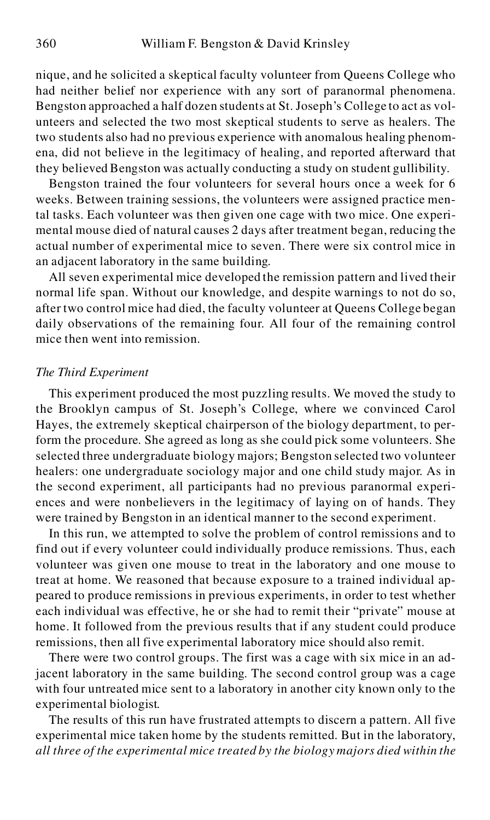nique, and he solicited a skeptical faculty volunteer from Queens College who had neither belief nor experience with any sort of paranormal phenomena. Bengston approached a half dozen students at St. Joseph's College to act as volunteers and selected the two most skeptical students to serve as healers. The two students also had no previous experience with anomalous healing phenomena, did not believe in the legitimacy of healing, and reported afterward that they believed Bengston was actually conducting a study on student gullibility.

Bengston trained the four volunteers for several hours once a week for 6 weeks. Between training sessions, the volunteers were assigned practice mental tasks. Each volunteer was then given one cage with two mice. One experimental mouse died of natural causes 2 days after treatment began, reducing the actual number of experimental mice to seven. There were six control mice in an adjacent laboratory in the same building.

All seven experimental mice developed the remission pattern and lived their normal life span. Without our knowledge, and despite warnings to not do so, after two control mice had died, the faculty volunteer at Queens College began daily observations of the remaining four. All four of the remaining control mice then went into remission.

# *The Third Experiment*

This experiment produced the most puzzling results. We moved the study to the Brooklyn campus of St. Joseph's College, where we convinced Carol Hayes, the extremely skeptical chairperson of the biology department, to perform the procedure. She agreed as long as she could pick some volunteers. She selected three undergraduate biology majors; Bengston selected two volunteer healers: one undergraduate sociology major and one child study major. As in the second experiment, all participants had no previous paranormal experiences and were nonbelievers in the legitimacy of laying on of hands. They were trained by Bengston in an identical manner to the second experiment.

In this run, we attempted to solve the problem of control remissions and to find out if every volunteer could individually produce remissions. Thus, each volunteer was given one mouse to treat in the laboratory and one mouse to treat at home. We reasoned that because exposure to a trained individual appeared to produce remissions in previous experiments, in order to test whether each individual was effective, he or she had to remit their "private" mouse at home. It followed from the previous results that if any student could produce remissions, then all five experimental laboratory mice should also remit.

There were two control groups. The first was a cage with six mice in an adjacent laboratory in the same building. The second control group was a cage with four untreated mice sent to a laboratory in another city known only to the experimental biologist.

The results of this run have frustrated attempts to discern a pattern. All five experimental mice taken home by the students remitted. But in the laboratory, *all three of the experimental mice treated by the biology majors died within the*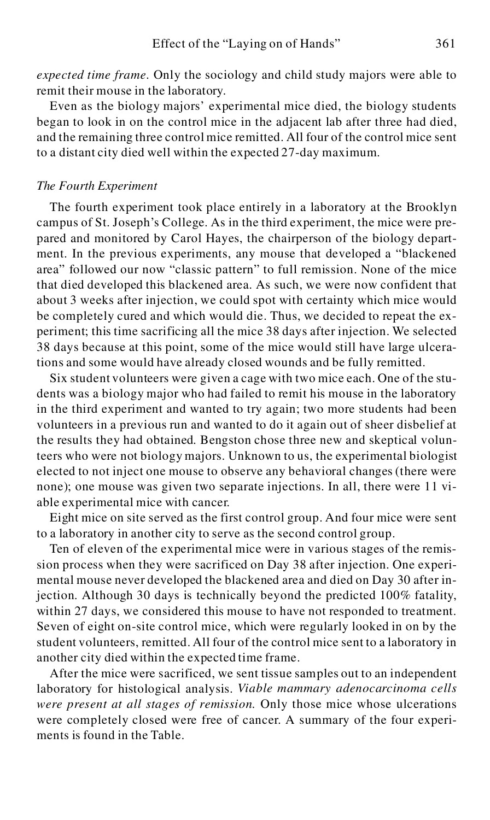*expected time frame.* Only the sociology and child study majors were able to remit their mouse in the laboratory.

Even as the biology majors' experimental mice died, the biology students began to look in on the control mice in the adjacent lab after three had died, and the remaining three control mice remitted. All four of the control mice sent to a distant city died well within the expected 27-day maximum.

# *The Fourth Experiment*

The fourth experiment took place entirely in a laboratory at the Brooklyn campus of St. Joseph's College. As in the third experiment, the mice were prepared and monitored by Carol Hayes, the chairperson of the biology department. In the previous experiments, any mouse that developed a "blackened area" followed our now "classic pattern" to full remission. None of the mice that died developed this blackened area. As such, we were now confident that about 3 weeks after injection, we could spot with certainty which mice would be completely cured and which would die. Thus, we decided to repeat the experiment; this time sacrificing all the mice 38 days after injection. We selected 38 days because at this point, some of the mice would still have large ulcerations and some would have already closed wounds and be fully remitted.

Six student volunteers were given a cage with two mice each. One of the students was a biology major who had failed to remit his mouse in the laboratory in the third experiment and wanted to try again; two more students had been volunteers in a previous run and wanted to do it again out of sheer disbelief at the results they had obtained. Bengston chose three new and skeptical volunteers who were not biology majors. Unknown to us, the experimental biologist elected to not inject one mouse to observe any behavioral changes (there were none); one mouse was given two separate injections. In all, there were 11 viable experimental mice with cancer.

Eight mice on site served as the first control group. And four mice were sent to a laboratory in another city to serve as the second control group.

Ten of eleven of the experimental mice were in various stages of the remission process when they were sacrificed on Day 38 after injection. One experimental mouse never developed the blackened area and died on Day 30 after injection. Although 30 days is technically beyond the predicted 100% fatality, within 27 days, we considered this mouse to have not responded to treatment. Seven of eight on-site control mice, which were regularly looked in on by the student volunteers, remitted. All four of the control mice sent to a laboratory in another city died within the expected time frame.

After the mice were sacrificed, we sent tissue samples out to an independent laboratory for histological analysis. *Viable mammary adenocarcinoma cells were present at all stages of remission.* Only those mice whose ulcerations were completely closed were free of cancer. A summary of the four experiments is found in the Table.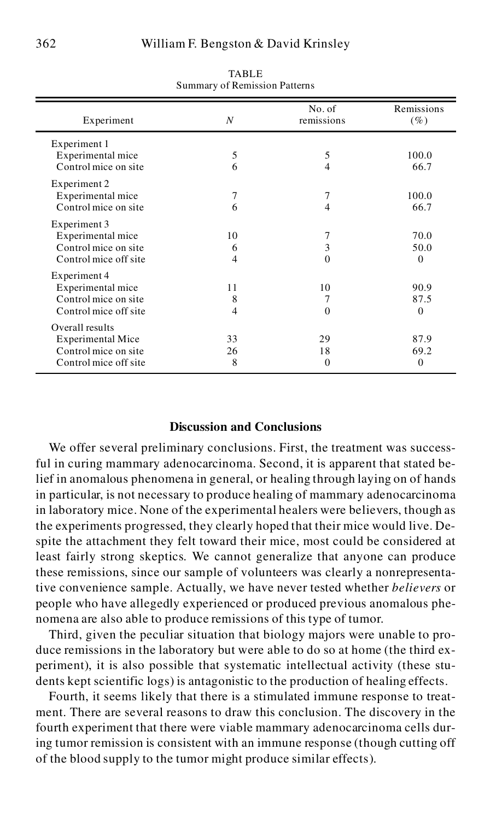| Experiment               | N  | No. of<br>remissions | Remissions<br>$(\%)$ |
|--------------------------|----|----------------------|----------------------|
| Experiment 1             |    |                      |                      |
| Experimental mice        | 5  | 5                    | 100.0                |
| Control mice on site     | 6  | 4                    | 66.7                 |
| Experiment 2             |    |                      |                      |
| Experimental mice        | 7  | 7                    | 100.0                |
| Control mice on site     | 6  | 4                    | 66.7                 |
| Experiment 3             |    |                      |                      |
| Experimental mice        | 10 | 7                    | 70.0                 |
| Control mice on site     | 6  | 3                    | 50.0                 |
| Control mice off site    | 4  | 0                    | $\Omega$             |
| Experiment 4             |    |                      |                      |
| Experimental mice        | 11 | 10                   | 90.9                 |
| Control mice on site     | 8  | 7                    | 87.5                 |
| Control mice off site    | 4  | $\Omega$             | $\Omega$             |
| Overall results          |    |                      |                      |
| <b>Experimental Mice</b> | 33 | 29                   | 87.9                 |
| Control mice on site     | 26 | 18                   | 69.2                 |
| Control mice off site    | 8  | 0                    | $\mathbf{0}$         |

TABLE Summary of Remission Patterns

# **Discussion and Conclusions**

We offer several preliminary conclusions. First, the treatment was successful in curing mammary adenocarcinoma. Second, it is apparent that stated belief in anomalous phenomena in general, or healing through laying on of hands in particular, is not necessary to produce healing of mammary adenocarcinoma in laboratory mice. None of the experimental healers were believers, though as the experiments progressed, they clearly hoped that their mice would live. Despite the attachment they felt toward their mice, most could be considered at least fairly strong skeptics. We cannot generalize that anyone can produce these remissions, since our sample of volunteers was clearly a nonrepresentative convenience sample. Actually, we have never tested whether *believers* or people who have allegedly experienced or produced previous anomalous phenomena are also able to produce remissions of this type of tumor.

Third, given the peculiar situation that biology majors were unable to produce remissions in the laboratory but were able to do so at home (the third experiment), it is also possible that systematic intellectual activity (these students kept scientific logs) is antagonistic to the production of healing effects.

Fourth, it seems likely that there is a stimulated immune response to treatment. There are several reasons to draw this conclusion. The discovery in the fourth experiment that there were viable mammary adenocarcinoma cells during tumor remission is consistent with an immune response (though cutting off of the blood supply to the tumor might produce similar effects).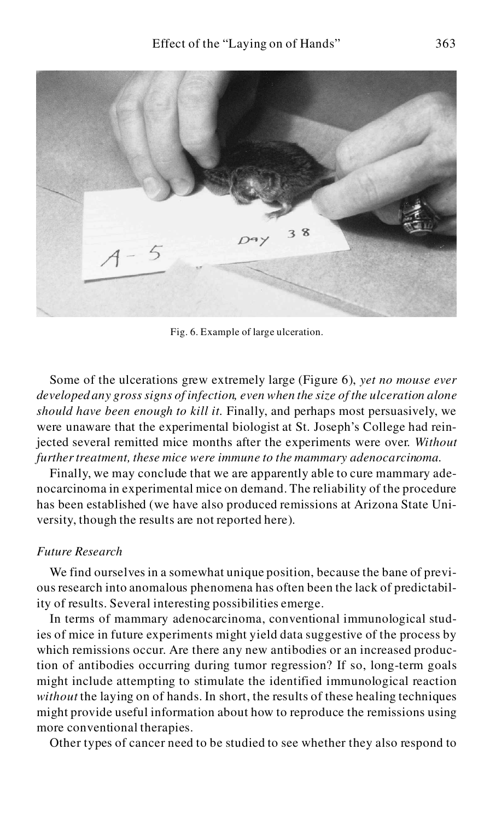

Fig. 6. Example of large ulceration.

Some of the ulcerations grew extremely large (Figure 6), *yet no mouse ever developed any gross signs of infection, even when the size of the ulceration alone should have been enough to kill it.* Finally, and perhaps most persuasively, we were unaware that the experimental biologist at St. Joseph's College had reinjected several remitted mice months after the experiments were over. *Without further treatment, these mice were immune to the mammary adenocarcinoma.*

Finally, we may conclude that we are apparently able to cure mammary adenocarcinoma in experimental mice on demand. The reliability of the procedure has been established (we have also produced remissions at Arizona State University, though the results are not reported here).

# *Future Research*

We find ourselves in a somewhat unique position, because the bane of previous research into anomalous phenomena has often been the lack of predictability of results. Several interesting possibilities emerge.

In terms of mammary adenocarcinoma, conventional immunological studies of mice in future experiments might yield data suggestive of the process by which remissions occur. Are there any new antibodies or an increased production of antibodies occurring during tumor regression? If so, long-term goals might include attempting to stimulate the identified immunological reaction *without* the laying on of hands. In short, the results of these healing techniques might provide useful information about how to reproduce the remissions using more conventional therapies.

Other types of cancer need to be studied to see whether they also respond to